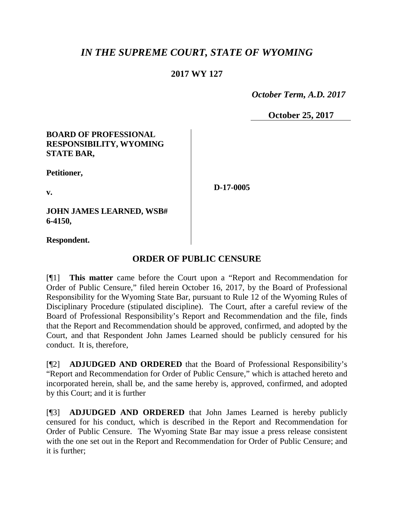# *IN THE SUPREME COURT, STATE OF WYOMING*

## **2017 WY 127**

 *October Term, A.D. 2017*

**October 25, 2017**

#### **BOARD OF PROFESSIONAL RESPONSIBILITY, WYOMING STATE BAR,**

**Petitioner,**

**v.**

**D-17-0005**

**JOHN JAMES LEARNED, WSB# 6-4150,**

**Respondent.**

# **ORDER OF PUBLIC CENSURE**

[¶1] **This matter** came before the Court upon a "Report and Recommendation for Order of Public Censure," filed herein October 16, 2017, by the Board of Professional Responsibility for the Wyoming State Bar, pursuant to Rule 12 of the Wyoming Rules of Disciplinary Procedure (stipulated discipline). The Court, after a careful review of the Board of Professional Responsibility's Report and Recommendation and the file, finds that the Report and Recommendation should be approved, confirmed, and adopted by the Court, and that Respondent John James Learned should be publicly censured for his conduct. It is, therefore,

[¶2] **ADJUDGED AND ORDERED** that the Board of Professional Responsibility's "Report and Recommendation for Order of Public Censure," which is attached hereto and incorporated herein, shall be, and the same hereby is, approved, confirmed, and adopted by this Court; and it is further

[¶3] **ADJUDGED AND ORDERED** that John James Learned is hereby publicly censured for his conduct, which is described in the Report and Recommendation for Order of Public Censure. The Wyoming State Bar may issue a press release consistent with the one set out in the Report and Recommendation for Order of Public Censure; and it is further;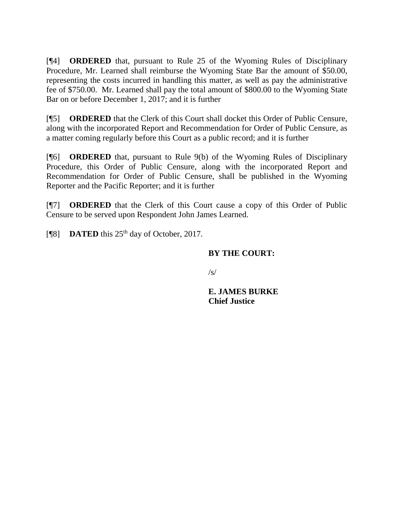[¶4] **ORDERED** that, pursuant to Rule 25 of the Wyoming Rules of Disciplinary Procedure, Mr. Learned shall reimburse the Wyoming State Bar the amount of \$50.00, representing the costs incurred in handling this matter, as well as pay the administrative fee of \$750.00. Mr. Learned shall pay the total amount of \$800.00 to the Wyoming State Bar on or before December 1, 2017; and it is further

[¶5] **ORDERED** that the Clerk of this Court shall docket this Order of Public Censure, along with the incorporated Report and Recommendation for Order of Public Censure, as a matter coming regularly before this Court as a public record; and it is further

[¶6] **ORDERED** that, pursuant to Rule 9(b) of the Wyoming Rules of Disciplinary Procedure, this Order of Public Censure, along with the incorporated Report and Recommendation for Order of Public Censure, shall be published in the Wyoming Reporter and the Pacific Reporter; and it is further

[¶7] **ORDERED** that the Clerk of this Court cause a copy of this Order of Public Censure to be served upon Respondent John James Learned.

[¶8] **DATED** this 25<sup>th</sup> day of October, 2017.

## **BY THE COURT:**

 $\sqrt{s}$ 

**E. JAMES BURKE Chief Justice**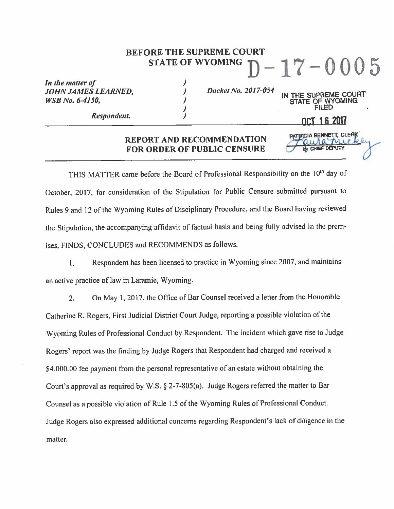## **BEFORE THE SUPREME COURT** - 17 – 0005 **STATE OF WYOMING**

In the matter of **JOHN JAMES LEARNED, WSB** No. 6-4150,

Docket No. 2017-054

Respondent.

OCT 1.6 2017

PATRICIA BENNETT, CLERK

E OF WYOMING

rance

IN THE SUPREME COURT

#### **REPORT AND RECOMMENDATION FOR ORDER OF PUBLIC CENSURE**

)

)

)<br>)

THIS MATTER came before the Board of Professional Responsibility on the 10<sup>th</sup> day of October, 2017, for consideration of the Stipulation for Public Censure submitted pursuant to Rules 9 and 12 of the Wyoming Rules of Disciplinary Procedure, and the Board having reviewed the Stipulation, the accompanying affidavit of factual basis and being fully advised in the premises, FINDS, CONCLUDES and RECOMMENDS as follows.

Respondent has been licensed to practice in Wyoming since 2007, and maintains i. an active practice of law in Laramie, Wyoming.

On May 1, 2017, the Office of Bar Counsel received a letter from the Honorable  $2.$ Catherine R. Rogers, First Judicial District Court Judge, reporting a possible violation of the Wyoming Rules of Professional Conduct by Respondent. The incident which gave rise to Judge Rogers' report was the finding by Judge Rogers that Respondent had charged and received a \$4,000.00 fee payment from the personal representative of an estate without obtaining the Court's approval as required by W.S. § 2-7-805(a). Judge Rogers referred the matter to Bar Counsel as a possible violation of Rule 1.5 of the Wyoming Rules of Professional Conduct. Judge Rogers also expressed additional concerns regarding Respondent's lack of diligence in the matter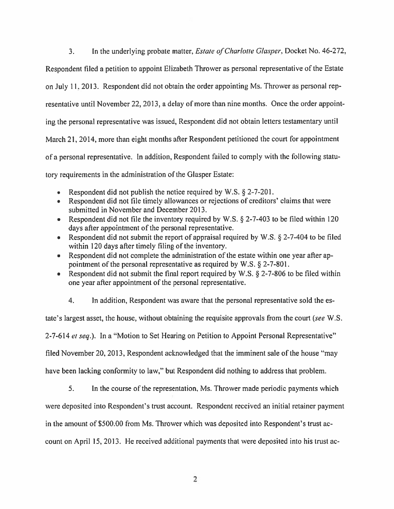$3<sub>1</sub>$ In the underlying probate matter, *Estate of Charlotte Glasper*, Docket No. 46-272, Respondent filed a petition to appoint Elizabeth Thrower as personal representative of the Estate on July 11, 2013. Respondent did not obtain the order appointing Ms. Thrower as personal representative until November 22, 2013, a delay of more than nine months. Once the order appointing the personal representative was issued, Respondent did not obtain letters testamentary until March 21, 2014, more than eight months after Respondent petitioned the court for appointment of a personal representative. In addition, Respondent failed to comply with the following statutory requirements in the administration of the Glasper Estate:

- Respondent did not publish the notice required by W.S.  $\S$  2-7-201.
- Respondent did not file timely allowances or rejections of creditors' claims that were  $\bullet$ submitted in November and December 2013.
- Respondent did not file the inventory required by W.S.  $\S$  2-7-403 to be filed within 120 days after appointment of the personal representative.
- Respondent did not submit the report of appraisal required by W.S. § 2-7-404 to be filed  $\bullet$ within 120 days after timely filing of the inventory.
- Respondent did not complete the administration of the estate within one year after ap- $\bullet$ pointment of the personal representative as required by W.S.  $\S$  2-7-801.
- Respondent did not submit the final report required by W.S. § 2-7-806 to be filed within  $\bullet$ one year after appointment of the personal representative.
	- 4. In addition, Respondent was aware that the personal representative sold the es-

tate's largest asset, the house, without obtaining the requisite approvals from the court (see W.S.

2-7-614 et seq.). In a "Motion to Set Hearing on Petition to Appoint Personal Representative"

filed November 20, 2013, Respondent acknowledged that the imminent sale of the house "may

have been lacking conformity to law," but Respondent did nothing to address that problem.

5. In the course of the representation, Ms. Thrower made periodic payments which

were deposited into Respondent's trust account. Respondent received an initial retainer payment

in the amount of \$500.00 from Ms. Thrower which was deposited into Respondent's trust ac-

count on April 15, 2013. He received additional payments that were deposited into his trust ac-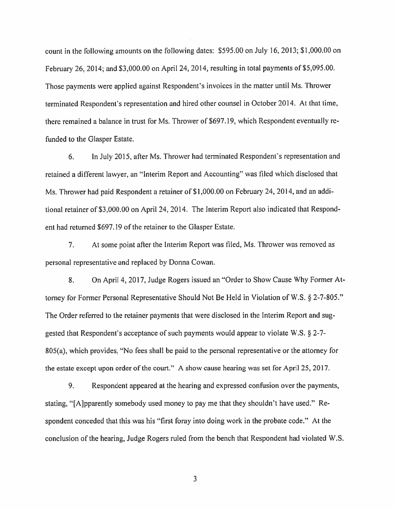count in the following amounts on the following dates: \$595.00 on July 16, 2013; \$1,000.00 on February 26, 2014; and \$3,000.00 on April 24, 2014, resulting in total payments of \$5,095.00. Those payments were applied against Respondent's invoices in the matter until Ms. Thrower terminated Respondent's representation and hired other counsel in October 2014. At that time, there remained a balance in trust for Ms. Thrower of \$697.19, which Respondent eventually refunded to the Glasper Estate.

6. In July 2015, after Ms. Thrower had terminated Respondent's representation and retained a different lawyer, an "Interim Report and Accounting" was filed which disclosed that Ms. Thrower had paid Respondent a retainer of \$1,000.00 on February 24, 2014, and an additional retainer of \$3,000,00 on April 24, 2014. The Interim Report also indicated that Respondent had returned \$697.19 of the retainer to the Glasper Estate.

 $7<sup>1</sup>$ At some point after the Interim Report was filed, Ms. Thrower was removed as personal representative and replaced by Donna Cowan.

8. On April 4, 2017, Judge Rogers issued an "Order to Show Cause Why Former Attorney for Former Personal Representative Should Not Be Held in Violation of W.S. § 2-7-805." The Order referred to the retainer payments that were disclosed in the Interim Report and suggested that Respondent's acceptance of such payments would appear to violate W.S. § 2-7-805(a), which provides, "No fees shall be paid to the personal representative or the attorney for the estate except upon order of the court." A show cause hearing was set for April 25, 2017.

9. Respondent appeared at the hearing and expressed confusion over the payments, stating, "[A] parently somebody used money to pay me that they shouldn't have used." Respondent conceded that this was his "first foray into doing work in the probate code." At the conclusion of the hearing, Judge Rogers ruled from the bench that Respondent had violated W.S.

3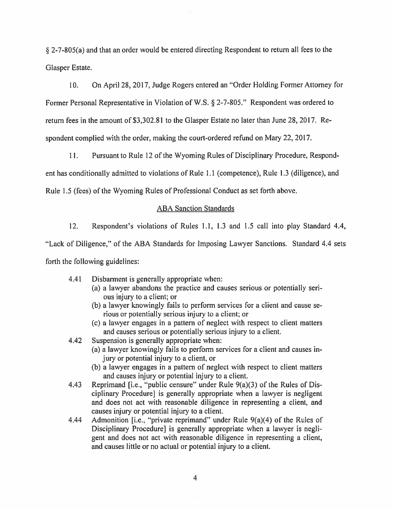§ 2-7-805(a) and that an order would be entered directing Respondent to return all fees to the Glasper Estate.

 $10.$ On April 28, 2017, Judge Rogers entered an "Order Holding Former Attorney for Former Personal Representative in Violation of W.S. § 2-7-805." Respondent was ordered to return fees in the amount of \$3,302.81 to the Glasper Estate no later than June 28, 2017. Respondent complied with the order, making the court-ordered refund on Mary 22, 2017.

 $11.$ Pursuant to Rule 12 of the Wyoming Rules of Disciplinary Procedure, Respond-

ent has conditionally admitted to violations of Rule 1.1 (competence), Rule 1.3 (diligence), and

Rule 1.5 (fees) of the Wyoming Rules of Professional Conduct as set forth above.

#### **ABA Sanction Standards**

 $12.$ Respondent's violations of Rules 1.1, 1.3 and 1.5 call into play Standard 4.4,

"Lack of Diligence," of the ABA Standards for Imposing Lawyer Sanctions. Standard 4.4 sets forth the following guidelines:

- 4.41 Disbarment is generally appropriate when:
	- (a) a lawyer abandons the practice and causes serious or potentially serious injury to a client; or
	- (b) a lawyer knowingly fails to perform services for a client and cause serious or potentially serious injury to a client; or
	- (c) a lawyer engages in a pattern of neglect with respect to client matters and causes serious or potentially serious injury to a client.
- Suspension is generally appropriate when: 4.42
	- (a) a lawyer knowingly fails to perform services for a client and causes injury or potential injury to a client, or
	- (b) a lawyer engages in a pattern of neglect with respect to client matters and causes injury or potential injury to a client.
- Reprimand [i.e., "public censure" under Rule 9(a)(3) of the Rules of Dis-4.43 ciplinary Procedure] is generally appropriate when a lawyer is negligent and does not act with reasonable diligence in representing a client, and causes injury or potential injury to a client.
- Admonition [i.e., "private reprimand" under Rule 9(a)(4) of the Rules of 4.44 Disciplinary Procedure] is generally appropriate when a lawyer is negligent and does not act with reasonable diligence in representing a client, and causes little or no actual or potential injury to a client.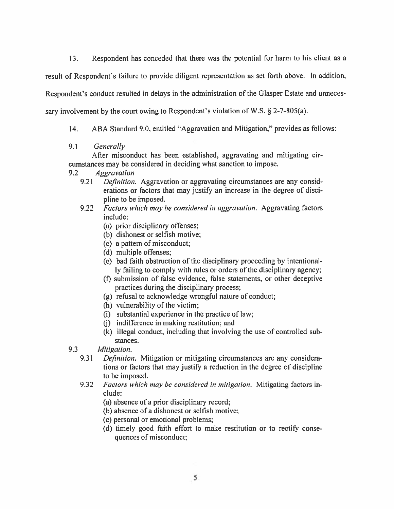Respondent has conceded that there was the potential for harm to his client as a  $13.$ result of Respondent's failure to provide diligent representation as set forth above. In addition, Respondent's conduct resulted in delays in the administration of the Glasper Estate and unnecessary involvement by the court owing to Respondent's violation of W.S.  $\S$  2-7-805(a).

- ABA Standard 9.0, entitled "Aggravation and Mitigation," provides as follows:  $14.$
- $9.1$ Generally

After misconduct has been established, aggravating and mitigating circumstances may be considered in deciding what sanction to impose.

- $9.2$ **Aggravation** 
	- 9.21 *Definition.* Aggravation or aggravating circumstances are any considerations or factors that may justify an increase in the degree of discipline to be imposed.
	- $9.22$ *Factors which may be considered in aggravation.* Aggravating factors include:
		- (a) prior disciplinary offenses;
		- (b) dishonest or selfish motive;
		- (c) a pattern of misconduct;
		- (d) multiple offenses;
		- (e) bad faith obstruction of the disciplinary proceeding by intentionally failing to comply with rules or orders of the disciplinary agency;
		- (f) submission of false evidence, false statements, or other deceptive practices during the disciplinary process;
		- (g) refusal to acknowledge wrongful nature of conduct;
		- (h) vulnerability of the victim;
		- (i) substantial experience in the practice of law;
		- (i) indifference in making restitution; and
		- (k) illegal conduct, including that involving the use of controlled substances.
- $9.3$ Mitigation.
	- 9.31 *Definition.* Mitigation or mitigating circumstances are any considerations or factors that may justify a reduction in the degree of discipline to be imposed.
	- Factors which may be considered in mitigation. Mitigating factors in- $9.32$ clude:

(a) absence of a prior disciplinary record;

- (b) absence of a dishonest or selfish motive;
- (c) personal or emotional problems;
- (d) timely good faith effort to make restitution or to rectify consequences of misconduct;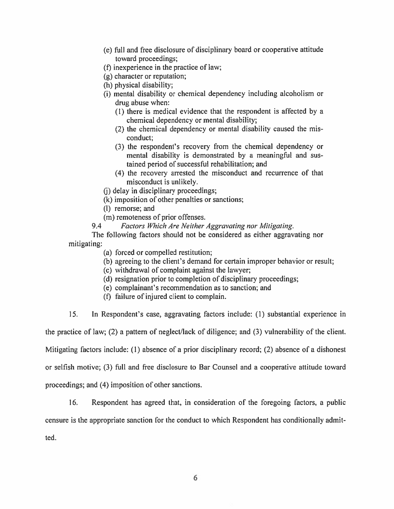- (e) full and free disclosure of disciplinary board or cooperative attitude toward proceedings;
- (f) in experience in the practice of law;
- (g) character or reputation;
- (h) physical disability;
- (i) mental disability or chemical dependency including alcoholism or drug abuse when:
	- (1) there is medical evidence that the respondent is affected by a chemical dependency or mental disability;
	- (2) the chemical dependency or mental disability caused the misconduct:
	- (3) the respondent's recovery from the chemical dependency or mental disability is demonstrated by a meaningful and sustained period of successful rehabilitation; and
	- (4) the recovery arrested the misconduct and recurrence of that misconduct is unlikely.
- (i) delay in disciplinary proceedings;
- (k) imposition of other penalties or sanctions;
- (l) remorse; and
- (m) remoteness of prior offenses.
- Factors Which Are Neither Aggravating nor Mitigating. 9.4

The following factors should not be considered as either aggravating nor mitigating:

- (a) forced or compelled restitution;
- (b) agreeing to the client's demand for certain improper behavior or result;
- (c) withdrawal of complaint against the lawyer;
- (d) resignation prior to completion of disciplinary proceedings;
- (e) complainant's recommendation as to sanction; and
- (f) failure of injured client to complain.

 $15.$ In Respondent's case, aggravating factors include: (1) substantial experience in

the practice of law; (2) a pattern of neglect/lack of diligence; and (3) vulnerability of the client.

Mitigating factors include: (1) absence of a prior disciplinary record; (2) absence of a dishonest

or selfish motive; (3) full and free disclosure to Bar Counsel and a cooperative attitude toward

proceedings; and (4) imposition of other sanctions.

16. Respondent has agreed that, in consideration of the foregoing factors, a public

censure is the appropriate sanction for the conduct to which Respondent has conditionally admit-

ted.